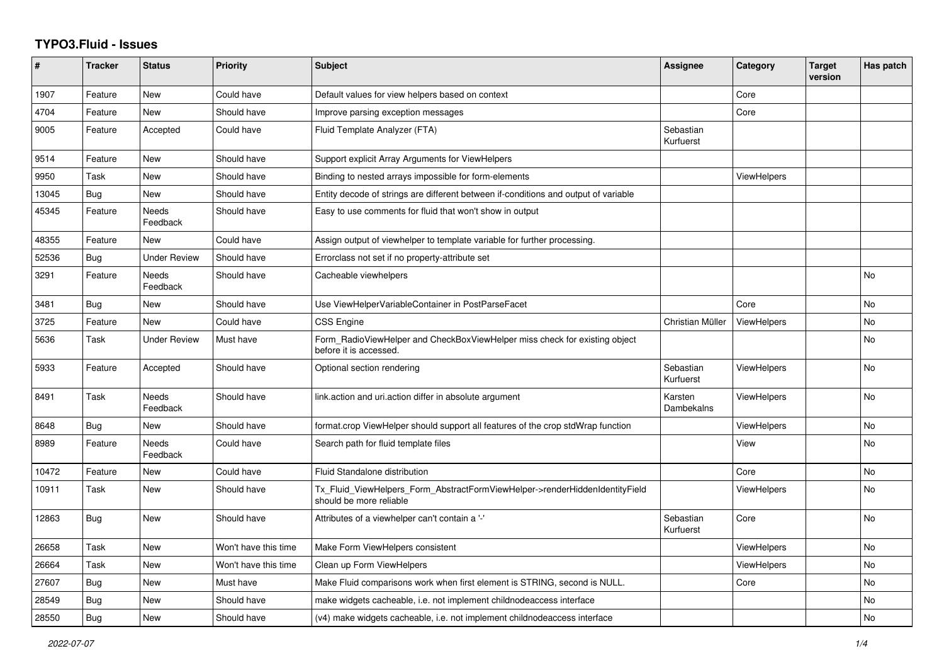## **TYPO3.Fluid - Issues**

| $\sharp$ | <b>Tracker</b> | <b>Status</b>            | <b>Priority</b>      | <b>Subject</b>                                                                                         | Assignee               | Category           | <b>Target</b><br>version | Has patch |
|----------|----------------|--------------------------|----------------------|--------------------------------------------------------------------------------------------------------|------------------------|--------------------|--------------------------|-----------|
| 1907     | Feature        | New                      | Could have           | Default values for view helpers based on context                                                       |                        | Core               |                          |           |
| 4704     | Feature        | New                      | Should have          | Improve parsing exception messages                                                                     |                        | Core               |                          |           |
| 9005     | Feature        | Accepted                 | Could have           | Fluid Template Analyzer (FTA)                                                                          | Sebastian<br>Kurfuerst |                    |                          |           |
| 9514     | Feature        | New                      | Should have          | Support explicit Array Arguments for ViewHelpers                                                       |                        |                    |                          |           |
| 9950     | Task           | New                      | Should have          | Binding to nested arrays impossible for form-elements                                                  |                        | <b>ViewHelpers</b> |                          |           |
| 13045    | Bug            | <b>New</b>               | Should have          | Entity decode of strings are different between if-conditions and output of variable                    |                        |                    |                          |           |
| 45345    | Feature        | Needs<br>Feedback        | Should have          | Easy to use comments for fluid that won't show in output                                               |                        |                    |                          |           |
| 48355    | Feature        | <b>New</b>               | Could have           | Assign output of viewhelper to template variable for further processing.                               |                        |                    |                          |           |
| 52536    | <b>Bug</b>     | Under Review             | Should have          | Errorclass not set if no property-attribute set                                                        |                        |                    |                          |           |
| 3291     | Feature        | <b>Needs</b><br>Feedback | Should have          | Cacheable viewhelpers                                                                                  |                        |                    |                          | <b>No</b> |
| 3481     | Bug            | New                      | Should have          | Use ViewHelperVariableContainer in PostParseFacet                                                      |                        | Core               |                          | <b>No</b> |
| 3725     | Feature        | New                      | Could have           | <b>CSS Engine</b>                                                                                      | Christian Müller       | <b>ViewHelpers</b> |                          | No        |
| 5636     | Task           | <b>Under Review</b>      | Must have            | Form_RadioViewHelper and CheckBoxViewHelper miss check for existing object<br>before it is accessed.   |                        |                    |                          | <b>No</b> |
| 5933     | Feature        | Accepted                 | Should have          | Optional section rendering                                                                             | Sebastian<br>Kurfuerst | <b>ViewHelpers</b> |                          | <b>No</b> |
| 8491     | Task           | <b>Needs</b><br>Feedback | Should have          | link.action and uri.action differ in absolute argument                                                 | Karsten<br>Dambekalns  | <b>ViewHelpers</b> |                          | <b>No</b> |
| 8648     | Bug            | New                      | Should have          | format.crop ViewHelper should support all features of the crop stdWrap function                        |                        | <b>ViewHelpers</b> |                          | No        |
| 8989     | Feature        | Needs<br>Feedback        | Could have           | Search path for fluid template files                                                                   |                        | View               |                          | No        |
| 10472    | Feature        | <b>New</b>               | Could have           | Fluid Standalone distribution                                                                          |                        | Core               |                          | <b>No</b> |
| 10911    | Task           | New                      | Should have          | Tx_Fluid_ViewHelpers_Form_AbstractFormViewHelper->renderHiddenIdentityField<br>should be more reliable |                        | <b>ViewHelpers</b> |                          | <b>No</b> |
| 12863    | <b>Bug</b>     | New                      | Should have          | Attributes of a viewhelper can't contain a '-'                                                         | Sebastian<br>Kurfuerst | Core               |                          | <b>No</b> |
| 26658    | Task           | New                      | Won't have this time | Make Form ViewHelpers consistent                                                                       |                        | <b>ViewHelpers</b> |                          | No        |
| 26664    | Task           | <b>New</b>               | Won't have this time | Clean up Form ViewHelpers                                                                              |                        | ViewHelpers        |                          | <b>No</b> |
| 27607    | Bug            | New                      | Must have            | Make Fluid comparisons work when first element is STRING, second is NULL.                              |                        | Core               |                          | <b>No</b> |
| 28549    | Bug            | New                      | Should have          | make widgets cacheable, i.e. not implement childnodeaccess interface                                   |                        |                    |                          | No        |
| 28550    | <b>Bug</b>     | <b>New</b>               | Should have          | (v4) make widgets cacheable, i.e. not implement childnodeaccess interface                              |                        |                    |                          | No        |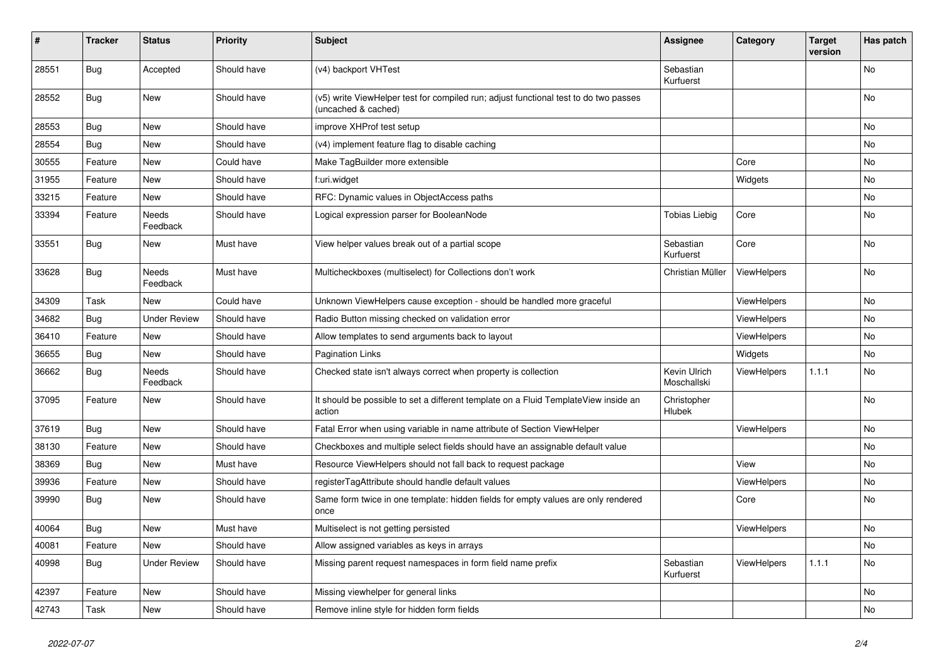| $\vert$ # | <b>Tracker</b> | <b>Status</b>       | <b>Priority</b> | <b>Subject</b>                                                                                              | <b>Assignee</b>             | Category           | <b>Target</b><br>version | Has patch |
|-----------|----------------|---------------------|-----------------|-------------------------------------------------------------------------------------------------------------|-----------------------------|--------------------|--------------------------|-----------|
| 28551     | <b>Bug</b>     | Accepted            | Should have     | (v4) backport VHTest                                                                                        | Sebastian<br>Kurfuerst      |                    |                          | <b>No</b> |
| 28552     | <b>Bug</b>     | New                 | Should have     | (v5) write ViewHelper test for compiled run; adjust functional test to do two passes<br>(uncached & cached) |                             |                    |                          | No        |
| 28553     | Bug            | New                 | Should have     | improve XHProf test setup                                                                                   |                             |                    |                          | <b>No</b> |
| 28554     | Bug            | New                 | Should have     | (v4) implement feature flag to disable caching                                                              |                             |                    |                          | No        |
| 30555     | Feature        | New                 | Could have      | Make TagBuilder more extensible                                                                             |                             | Core               |                          | No        |
| 31955     | Feature        | New                 | Should have     | f:uri.widget                                                                                                |                             | Widgets            |                          | No        |
| 33215     | Feature        | New                 | Should have     | RFC: Dynamic values in ObjectAccess paths                                                                   |                             |                    |                          | No        |
| 33394     | Feature        | Needs<br>Feedback   | Should have     | Logical expression parser for BooleanNode                                                                   | <b>Tobias Liebig</b>        | Core               |                          | No        |
| 33551     | Bug            | New                 | Must have       | View helper values break out of a partial scope                                                             | Sebastian<br>Kurfuerst      | Core               |                          | <b>No</b> |
| 33628     | <b>Bug</b>     | Needs<br>Feedback   | Must have       | Multicheckboxes (multiselect) for Collections don't work                                                    | Christian Müller            | <b>ViewHelpers</b> |                          | No        |
| 34309     | Task           | New                 | Could have      | Unknown ViewHelpers cause exception - should be handled more graceful                                       |                             | <b>ViewHelpers</b> |                          | No        |
| 34682     | Bug            | <b>Under Review</b> | Should have     | Radio Button missing checked on validation error                                                            |                             | <b>ViewHelpers</b> |                          | No        |
| 36410     | Feature        | New                 | Should have     | Allow templates to send arguments back to layout                                                            |                             | ViewHelpers        |                          | <b>No</b> |
| 36655     | Bug            | New                 | Should have     | <b>Pagination Links</b>                                                                                     |                             | Widgets            |                          | No        |
| 36662     | Bug            | Needs<br>Feedback   | Should have     | Checked state isn't always correct when property is collection                                              | Kevin Ulrich<br>Moschallski | <b>ViewHelpers</b> | 1.1.1                    | No        |
| 37095     | Feature        | New                 | Should have     | It should be possible to set a different template on a Fluid TemplateView inside an<br>action               | Christopher<br>Hlubek       |                    |                          | <b>No</b> |
| 37619     | Bug            | New                 | Should have     | Fatal Error when using variable in name attribute of Section ViewHelper                                     |                             | <b>ViewHelpers</b> |                          | No        |
| 38130     | Feature        | New                 | Should have     | Checkboxes and multiple select fields should have an assignable default value                               |                             |                    |                          | No        |
| 38369     | Bug            | New                 | Must have       | Resource ViewHelpers should not fall back to request package                                                |                             | View               |                          | No        |
| 39936     | Feature        | New                 | Should have     | registerTagAttribute should handle default values                                                           |                             | ViewHelpers        |                          | No        |
| 39990     | Bug            | New                 | Should have     | Same form twice in one template: hidden fields for empty values are only rendered<br>once                   |                             | Core               |                          | No        |
| 40064     | Bug            | <b>New</b>          | Must have       | Multiselect is not getting persisted                                                                        |                             | ViewHelpers        |                          | <b>No</b> |
| 40081     | Feature        | New                 | Should have     | Allow assigned variables as keys in arrays                                                                  |                             |                    |                          | <b>No</b> |
| 40998     | Bug            | <b>Under Review</b> | Should have     | Missing parent request namespaces in form field name prefix                                                 | Sebastian<br>Kurfuerst      | ViewHelpers        | 1.1.1                    | No        |
| 42397     | Feature        | New                 | Should have     | Missing viewhelper for general links                                                                        |                             |                    |                          | <b>No</b> |
| 42743     | Task           | New                 | Should have     | Remove inline style for hidden form fields                                                                  |                             |                    |                          | No        |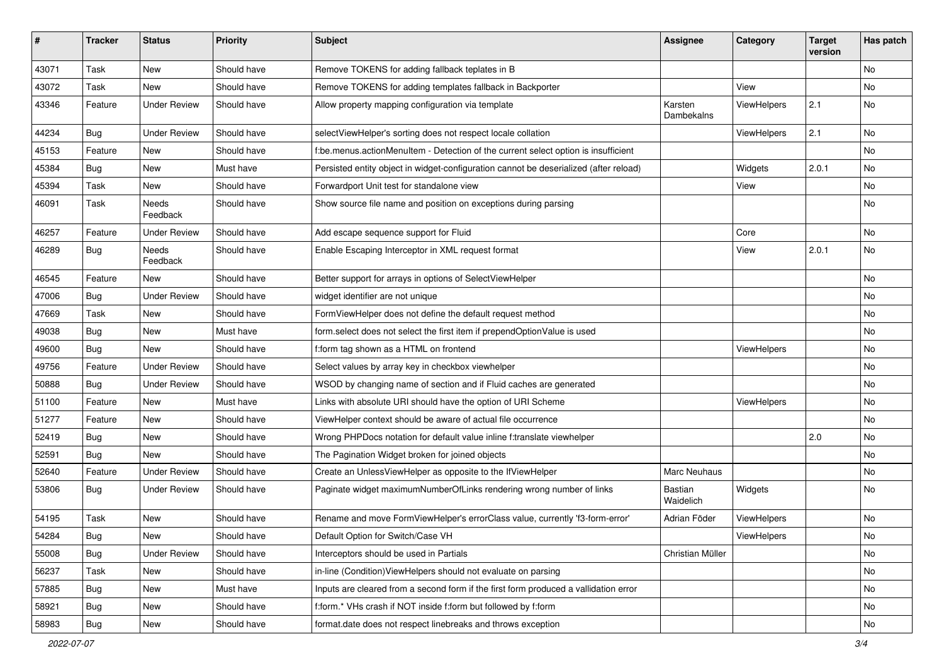| #     | <b>Tracker</b> | <b>Status</b>       | <b>Priority</b> | <b>Subject</b>                                                                        | <b>Assignee</b>       | Category    | <b>Target</b><br>version | Has patch |
|-------|----------------|---------------------|-----------------|---------------------------------------------------------------------------------------|-----------------------|-------------|--------------------------|-----------|
| 43071 | Task           | New                 | Should have     | Remove TOKENS for adding fallback teplates in B                                       |                       |             |                          | No        |
| 43072 | Task           | New                 | Should have     | Remove TOKENS for adding templates fallback in Backporter                             |                       | View        |                          | No        |
| 43346 | Feature        | <b>Under Review</b> | Should have     | Allow property mapping configuration via template                                     | Karsten<br>Dambekalns | ViewHelpers | 2.1                      | No        |
| 44234 | Bug            | <b>Under Review</b> | Should have     | selectViewHelper's sorting does not respect locale collation                          |                       | ViewHelpers | 2.1                      | No        |
| 45153 | Feature        | New                 | Should have     | f:be.menus.actionMenuItem - Detection of the current select option is insufficient    |                       |             |                          | No        |
| 45384 | Bug            | New                 | Must have       | Persisted entity object in widget-configuration cannot be deserialized (after reload) |                       | Widgets     | 2.0.1                    | No        |
| 45394 | Task           | New                 | Should have     | Forwardport Unit test for standalone view                                             |                       | View        |                          | No        |
| 46091 | Task           | Needs<br>Feedback   | Should have     | Show source file name and position on exceptions during parsing                       |                       |             |                          | No        |
| 46257 | Feature        | <b>Under Review</b> | Should have     | Add escape sequence support for Fluid                                                 |                       | Core        |                          | No        |
| 46289 | Bug            | Needs<br>Feedback   | Should have     | Enable Escaping Interceptor in XML request format                                     |                       | View        | 2.0.1                    | No        |
| 46545 | Feature        | New                 | Should have     | Better support for arrays in options of SelectViewHelper                              |                       |             |                          | No        |
| 47006 | Bug            | Under Review        | Should have     | widget identifier are not unique                                                      |                       |             |                          | No        |
| 47669 | Task           | New                 | Should have     | FormViewHelper does not define the default request method                             |                       |             |                          | No        |
| 49038 | <b>Bug</b>     | New                 | Must have       | form.select does not select the first item if prependOptionValue is used              |                       |             |                          | No        |
| 49600 | Bug            | New                 | Should have     | f:form tag shown as a HTML on frontend                                                |                       | ViewHelpers |                          | No        |
| 49756 | Feature        | <b>Under Review</b> | Should have     | Select values by array key in checkbox viewhelper                                     |                       |             |                          | No        |
| 50888 | Bug            | <b>Under Review</b> | Should have     | WSOD by changing name of section and if Fluid caches are generated                    |                       |             |                          | No        |
| 51100 | Feature        | New                 | Must have       | Links with absolute URI should have the option of URI Scheme                          |                       | ViewHelpers |                          | No        |
| 51277 | Feature        | New                 | Should have     | ViewHelper context should be aware of actual file occurrence                          |                       |             |                          | No        |
| 52419 | Bug            | New                 | Should have     | Wrong PHPDocs notation for default value inline f:translate viewhelper                |                       |             | 2.0                      | No        |
| 52591 | Bug            | New                 | Should have     | The Pagination Widget broken for joined objects                                       |                       |             |                          | No        |
| 52640 | Feature        | <b>Under Review</b> | Should have     | Create an UnlessViewHelper as opposite to the IfViewHelper                            | Marc Neuhaus          |             |                          | No        |
| 53806 | Bug            | Under Review        | Should have     | Paginate widget maximumNumberOfLinks rendering wrong number of links                  | Bastian<br>Waidelich  | Widgets     |                          | No        |
| 54195 | Task           | New                 | Should have     | Rename and move FormViewHelper's errorClass value, currently 'f3-form-error'          | Adrian Föder          | ViewHelpers |                          | No        |
| 54284 | <b>Bug</b>     | New                 | Should have     | Default Option for Switch/Case VH                                                     |                       | ViewHelpers |                          | No.       |
| 55008 | <b>Bug</b>     | <b>Under Review</b> | Should have     | Interceptors should be used in Partials                                               | Christian Müller      |             |                          | No        |
| 56237 | Task           | New                 | Should have     | in-line (Condition) View Helpers should not evaluate on parsing                       |                       |             |                          | No        |
| 57885 | Bug            | New                 | Must have       | Inputs are cleared from a second form if the first form produced a vallidation error  |                       |             |                          | No        |
| 58921 | <b>Bug</b>     | New                 | Should have     | f:form.* VHs crash if NOT inside f:form but followed by f:form                        |                       |             |                          | No        |
| 58983 | <b>Bug</b>     | New                 | Should have     | format.date does not respect linebreaks and throws exception                          |                       |             |                          | No        |